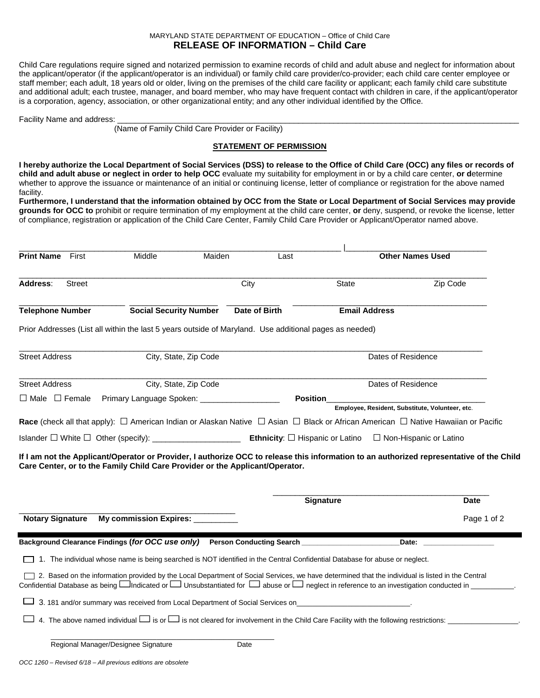## MARYLAND STATE DEPARTMENT OF EDUCATION – Office of Child Care **RELEASE OF INFORMATION – Child Care**

Child Care regulations require signed and notarized permission to examine records of child and adult abuse and neglect for information about the applicant/operator (if the applicant/operator is an individual) or family child care provider/co-provider; each child care center employee or staff member; each adult, 18 years old or older, living on the premises of the child care facility or applicant; each family child care substitute and additional adult; each trustee, manager, and board member, who may have frequent contact with children in care, if the applicant/operator is a corporation, agency, association, or other organizational entity; and any other individual identified by the Office.

Facility Name and address:

(Name of Family Child Care Provider or Facility)

## **STATEMENT OF PERMISSION**

**I hereby authorize the Local Department of Social Services (DSS) to release to the Office of Child Care (OCC) any files or records of child and adult abuse or neglect in order to help OCC** evaluate my suitability for employment in or by a child care center, **or d**etermine whether to approve the issuance or maintenance of an initial or continuing license, letter of compliance or registration for the above named facility.

**Furthermore, I understand that the information obtained by OCC from the State or Local Department of Social Services may provide grounds for OCC to** prohibit or require termination of my employment at the child care center, **or** deny, suspend, or revoke the license, letter of compliance, registration or application of the Child Care Center, Family Child Care Provider or Applicant/Operator named above.

| <b>Print Name</b><br>First | Middle                          | Maiden                                                                                                 | Last            |                                                                                                                             | <b>Other Names Used</b>                                                                                                                                                                                                                                                                                               |
|----------------------------|---------------------------------|--------------------------------------------------------------------------------------------------------|-----------------|-----------------------------------------------------------------------------------------------------------------------------|-----------------------------------------------------------------------------------------------------------------------------------------------------------------------------------------------------------------------------------------------------------------------------------------------------------------------|
| Address:<br>Street         |                                 | City                                                                                                   |                 | State                                                                                                                       | Zip Code                                                                                                                                                                                                                                                                                                              |
| <b>Telephone Number</b>    | <b>Social Security Number</b>   |                                                                                                        | Date of Birth   | <b>Email Address</b>                                                                                                        |                                                                                                                                                                                                                                                                                                                       |
|                            |                                 | Prior Addresses (List all within the last 5 years outside of Maryland. Use additional pages as needed) |                 |                                                                                                                             |                                                                                                                                                                                                                                                                                                                       |
| <b>Street Address</b>      |                                 | City, State, Zip Code                                                                                  |                 |                                                                                                                             | Dates of Residence                                                                                                                                                                                                                                                                                                    |
| <b>Street Address</b>      |                                 | City, State, Zip Code                                                                                  |                 |                                                                                                                             | Dates of Residence                                                                                                                                                                                                                                                                                                    |
| $\Box$ Male $\Box$ Female  |                                 | Primary Language Spoken: ____________________                                                          | <b>Position</b> |                                                                                                                             |                                                                                                                                                                                                                                                                                                                       |
|                            |                                 |                                                                                                        |                 |                                                                                                                             | Employee, Resident, Substitute, Volunteer, etc.                                                                                                                                                                                                                                                                       |
|                            |                                 |                                                                                                        |                 |                                                                                                                             | Race (check all that apply): □ American Indian or Alaskan Native □ Asian □ Black or African American □ Native Hawaiian or Pacific                                                                                                                                                                                     |
|                            |                                 |                                                                                                        |                 |                                                                                                                             |                                                                                                                                                                                                                                                                                                                       |
|                            |                                 |                                                                                                        |                 |                                                                                                                             |                                                                                                                                                                                                                                                                                                                       |
|                            |                                 | Care Center, or to the Family Child Care Provider or the Applicant/Operator.                           |                 | <b>Signature</b>                                                                                                            | If I am not the Applicant/Operator or Provider, I authorize OCC to release this information to an authorized representative of the Child<br>Date                                                                                                                                                                      |
| <b>Notary Signature</b>    | My commission Expires: ________ |                                                                                                        |                 |                                                                                                                             | Page 1 of 2                                                                                                                                                                                                                                                                                                           |
|                            |                                 |                                                                                                        |                 | Background Clearance Findings (for OCC use only) Person Conducting Search ______________                                    | Date:                                                                                                                                                                                                                                                                                                                 |
|                            |                                 |                                                                                                        |                 | 1. The individual whose name is being searched is NOT identified in the Central Confidential Database for abuse or neglect. |                                                                                                                                                                                                                                                                                                                       |
|                            |                                 |                                                                                                        |                 |                                                                                                                             | 2. Based on the information provided by the Local Department of Social Services, we have determined that the individual is listed in the Central<br>Confidential Database as being $\Box$ Indicated or $\Box$ Unsubstantiated for $\Box$ abuse or $\Box$ neglect in reference to an investigation conducted in $\Box$ |
|                            |                                 |                                                                                                        |                 | 3. 181 and/or summary was received from Local Department of Social Services on                                              |                                                                                                                                                                                                                                                                                                                       |
|                            |                                 |                                                                                                        |                 |                                                                                                                             | 4. The above named individual $\square$ is or $\square$ is not cleared for involvement in the Child Care Facility with the following restrictions:                                                                                                                                                                    |